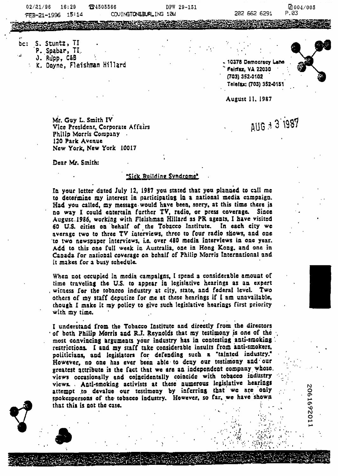$02/21/96$  $16:29$ £1505566 DPW 29-151 FEB-21-1996 15:14 COUINGTONSBURLING 18W

202 662 6291

☑004/005

102691902

P.03

bc: S. Stuntz, TI

- P. Spabar, TI.
- J. Rupp, C&B
- : K. Doyne, Fleishman Hillard

10378 Democracy Lane **Feirfax, VA 22030** (703) 352-0102 Telefax: (703) 352-0151

August II, 1987

**AUG + 3 1987** 

Mr. Guy L. Smith IV Vice President, Corporate Affairs Philip Morris Company . 120 Park Avenue New York, New York 10017

Dear Mr. Smith:

## Sick Building Syndrome'

In your letter dated July 12, 1987 you stated that you planned to call me to determine my interest in participating in a national media campaign. Had you called, my message would have been, sorry, at this time there is no way I could entertain further TV, radio, or press coverage. Since August 1986, working with Fleishman Hillard as PR agents, I have visited 60 U.S. cities on behalf of the Tobacco Institute. In each city we average two to three TV interviews, three to four radio shows, and one to two newspaper interviews, i.e. over 480 media interviews in one year. Add to this one full week in Australia, one in Hong Kong, and one in Canada for national coverage on behalf of Philip Morris International and it makes for a busy schedule.

When not occupied in media campaigns, I spend a considerable amount of time traveling the U.S. to appear in legislative hearings as an expert , witness for the tobacco industry at city, state, and federal level. Two others of my staff deputize for me at these hearings if I am unavailable, though I make it my policy to give such legislative hearings first priority with my time.

I understand from the Tobacco Institute and directly from the directors of both Philip Morris and R.J. Reynolds that my testimony is one of the most convincing arguments your industry has in contesting anti-smoking. restrictions. I and my staff take considerable insults from anti-smokers, politicians, and legislators for defending such a "tainted industry." However, no one has ever been able to deny our testimony and our greatest attribute is the fact that we are an independent company whose. views occasionally and coincidentally coincide with tobacco industry views. Anti-smoking activists at these numerous legislative hearings attempt to devalue our testimeny by inferring that we are only spokespersons of the tobaceo industry. However, so far, we have shown that this is not the case.